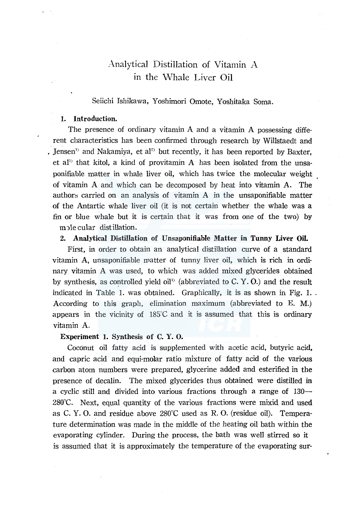# .Analytical Distillation of Vitamin A in the Whale Liver Oil

## Seiichi Ishikawa, Yoshimori Omote, Yoshitaka Soma.

#### **1.** Introduction.

The presence of ordinary vitamin  $A$  and a vitamin  $A$  possessing different characteristics has been confirmed through research by Willstaedt and . Jensen<sup>th</sup> and Nakamiya, et al<sup>23</sup> but recently, it has been reported by Baxter, et al<sup>33</sup> that kitol, a kind of provitamin A has been isolated from the unsaponifiable matter in whale liver oil, which has twice the molecular weight of vitamin A and which can be decomposed by heat into vitamin A. The authors carried on an analysis of vitamin A in the unsaponifiable matter of the Antartic whale liver oil (it is not certain whether the whale was a fin or blue whale but it is certain that it was from one of the two) by m1le cular distillation.

#### 2. Analytical Distillation of U nsaponifiable Matter **in** Tunny Liver **Oil.**

First, in order to obtain an analytical distillation curve of a standard vitamin A, unsaponifiable watter of tunny liver oil, which is rich in ordinary vitamin A was used, to which was added mixed glycerides obtained by synthesis, as controlled yield oil<sup>43</sup> (abbreviated to C. Y. O.) and the result indicated in Table 1. was obtained. Graphically, it is as shown in Fig. 1. . According to this graph, elimination maximum (abbreviated to E. M.) appears in the vicinity of  $185^{\circ}$ C and it is assumed that this is ordinary vitamin A.

#### Experiment 1. Synthesis of C. Y. O.

Coconut oil fatty acid is supplemented with acetic acid, butyric acid, and capric acid and equi-molar ratio mixture of fatty acid of the various carbon atom numbers were prepared, glycerine added and esterified in the presence of decalin. The mixed glycerides thus obtained were distilled in a cyclic still and divided into various fractions through a range of 130-  $280^{\circ}$ C. Next, equal quantity of the various fractions were mixid and used as C. Y. 0. and residue above 280°C used as R. 0. (residue oil). Temperature determination was made in the middle of the heating oil bath within the evaporating cylinder. During the process, the bath was well stirred so it is assumed that it is approximately the temperature of the evaporating sur-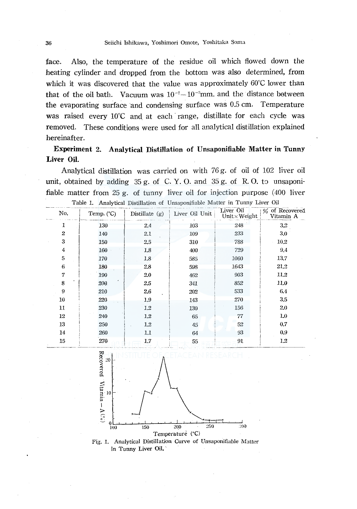Also, the temperature of the residue oil which flowed down the face. heating cylinder and dropped from the bottom was also determined, from which it was discovered that the value was approximately 60°C lower than that of the oil bath. Vacuum was  $10^{-2} - 10^{-3}$ mm. and the distance between the evaporating surface and condensing surface was 0.5 cm. Temperature was raised every 10°C and at each range, distillate for each cycle was removed. These conditions were used for all analytical distillation explained hereinafter.

## Experiment 2. Analytical Distillation of Unsaponifiable Matter in Tunny Liver Oil.

Analytical distillation was carried on with 76 g. of oil of 102 liver oil unit, obtained by adding  $35 g$ . of C.Y.O. and  $35 g$ . of R.O. to unsaponifiable matter from 25 g. of tunny liver oil for injection purpose (400 liver Table 1. Analytical Distillation of Unsaponifiable Matter in Tunny Liver Oil

| No.              | Temp. $(^{\circ}C)$ | Distillate $(g)$ | Liver Oil Unit | Liver Oil<br>Unit $\times$ Weight | 1 % of Recovered<br>Vitamin A |
|------------------|---------------------|------------------|----------------|-----------------------------------|-------------------------------|
| 1                | 130                 | 2.4              | 103            | 248                               | 3.2                           |
| $\boldsymbol{2}$ | 140                 | 2.1              | 109            | 233                               | 3,0                           |
| 3                | 150                 | 2.5              | 310            | 788                               | 10.2                          |
| 4                | 160                 | 1.8              | 400            | 729                               | 9.4                           |
| 5                | 170                 | 1.8              | 585            | 1060                              | 13.7                          |
| 6                | 180                 | 2.8              | 598            | 1643                              | 21,2                          |
| 7                | 190                 | 2.0              | 462            | 903                               | 11,2                          |
| 8                | 200                 | 2,5              | 341            | 852                               | 11.0                          |
| 9                | 210                 | 2.6              | 202            | 533                               | 6.4                           |
| 10               | 220                 | 1.9              | 143            | 270                               | 3.5                           |
| 11               | 230                 | 1.2              | 130            | 156                               | 2.0                           |
| 12               | 240                 | 1.2              | 65             | 77                                | 1.0                           |
| 13               | 250                 | 1.2              | 45             | 52                                | 0.7                           |
| 14               | 260                 | 1.1              | 64             | 93                                | 0.9                           |
| 15               | 270                 | 1.7              | 55             | 91                                | 1.2                           |



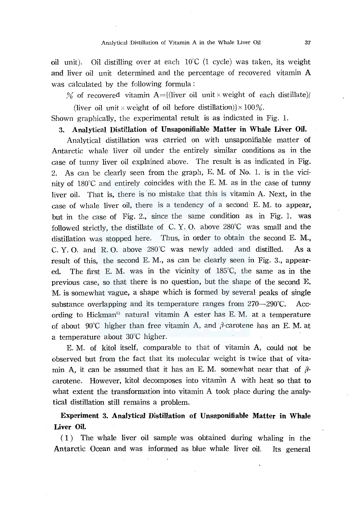oil unit). Oil distilling over at each  $10^{\circ}C$  (1 cycle) was taken, its weight and liver oil unit determined and the percentage of recovered vitamin A was calculated by the following formula :

 $\%$  of recovered vitamin A=[(liver oil unit x weight of each distillate)/

(liver oil unit x weight of oil before distillation)]  $\times$  100%.

Shown graphically, the experimental result is as indicated in Fig. 1.

## 3. Analytical DistiUation of Unsaponifiable Matter in Whale Liver Oil.

Analytical distillation was carried on with unsaponifiable matter of Antarctic whale liver oil under the entirely similar conditions as in the case of tunny liver oil explained above. The result is as indicated in Fig. 2. As can be clearly seen from the graph, E. M. of No. 1. is in the vicinity of  $180^{\circ}$ C and entirely coincides with the E.M. as in the case of tunny liver oil. That is, there is 'no mistake that this is vitamin A. Next, in the case of whale liver oil, there is a tendency of a second E. M. to appear, but in the case of Fig. 2., since the same condition as in Fig. 1. was followed strictly, the distillate of C. Y. 0. above 280°C was small and the distillation was stopped here. Thus, in order to obtain the second E. M., C. Y. O. and R. O. above  $280^{\circ}$ C was newly added and distilled. As a result of this, the second E. M., as can be clearly seen in Fig. 3., appeared. The first E. M. was in the vicinity of 185°C, the same as in the previous case, so that there is no question, but the shape of the second E. M. is somewhat vague, a shape which is formed by several peaks of single substance overlapping and its temperature ranges from  $270-290^{\circ}$ C. According to Hickman<sup>5</sup> natural vitamin A ester has E.M. at a temperature of about 90°C higher than free vitamin A, and  $\beta$ -carotene has an E. M. at a temperature about 30°C higher.

E. M. of kitol itself, comparable to that of vitamin A, could not be observed but from the fact that its molecular weight is twice that of vitamin A, it can be assumed that it has an E. M. somewhat near that of  $\beta$ carotene. However, kitol decomposes into vitaniin A with heat so that to what extent the transformation into vitamin A took place during the analytical distillation still remains a problem.

## Experiment 3. Analytical Distillation of Unsaponifiable Matter in Whale Liver Oil.

( 1 ) The whale liver oil sample was obtained during whaling in the Antarctic Ocean and was informed as blue whale liver oil. Its general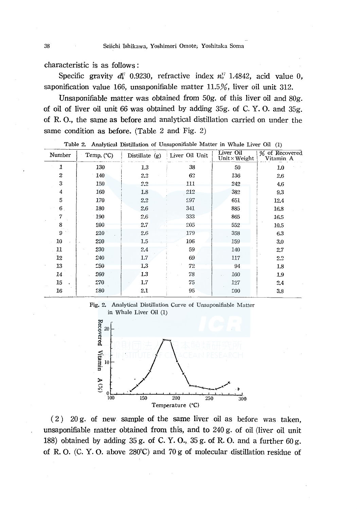characteristic is as follows:

Specific gravity  $d_4^r$  0.9230, refractive index  $n_0^r$  1.4842, acid value 0. saponification value 166, unsaponifiable matter  $11.5\%$ , liver oil unit 312.

Unsaponifiable matter was obtained from 50g, of this liver oil and 80g. of oil of liver oil unit 66 was obtained by adding 35g. of C.Y.O. and 35g. of R.O., the same as before and analytical distillation carried on under the same condition as before. (Table 2 and Fig. 2)

| Number           | Temp. (°C) | Distillate (g) | Liver Oil Unit | Liver Oil<br>Unit $\times$ Weight | % of Recovered<br>Vitamin A |
|------------------|------------|----------------|----------------|-----------------------------------|-----------------------------|
| 1                | 130        | 1.3            | 38             | 50                                | 1.0                         |
| $\boldsymbol{2}$ | 140        | 2.2            | 62             | 136                               | 2,6                         |
| 3                | 150        | 2.2            | 111            | 242                               | 4.6                         |
| 4                | 160        | 1.8            | 212            | 382                               | 9.3                         |
| 5                | 170        | 2.2            | 297            | 651                               | 12.4                        |
| 6 <sub>1</sub>   | 180        | 2.6            | 341            | 885                               | 16.8                        |
| 7                | 190        | 2.6            | 333            | 865                               | 16.5                        |
| 8                | 200        | 2.7            | 205            | 552                               | 10.5                        |
| $\overline{9}$   | 210        | 2.6            | 179            | 358                               | 6.3                         |
| 10               | 220        | 1.5            | 106            | 159                               | 3.0                         |
| 11               | 230        | 2.4            | 59             | 140                               | 2.7                         |
| 12               | 240        | 1.7            | 69             | 117                               | 2.2                         |
| 13               | 250        | 1,3            | 72             | 94                                | 1.8                         |
| 14               | 260        | 1.3            | 78             | $100\,$                           | 1.9                         |
| 15               | 270        | 1.7            | 75             | 127                               | 2.4                         |
| 16               | 280        | 2.1            | 95             | 200                               | 3.8                         |

Table 2. Analytical Distillation of Unsaponifiable Matter in Whale Liver Oil (1)





 $(2)$  20 g. of new sample of the same liver oil as before was taken. unsaponifiable matter obtained from this, and to 240 g. of oil (liver oil unit 188) obtained by adding 35 g. of C. Y. O., 35 g. of R. O. and a further  $60 g$ . of R.O. (C.Y.O. above 280°C) and 70 g of molecular distillation residue of

38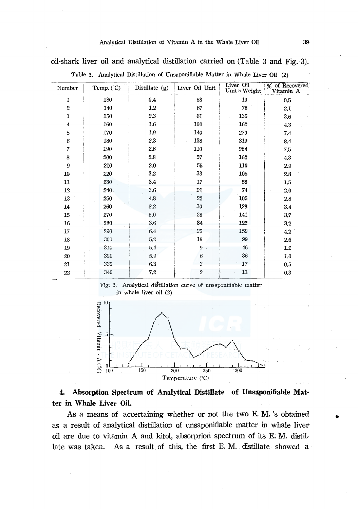## oil-shark liver oil and analytical distillation carried on (Table 3 and Fig. 3).

| Number          | Temp. (°C) | Distillate $(g)$ | Liver Oil Unit   | Liver Oil<br>Unit $\times$ Weight | % of Recovered<br>Vitamin A |
|-----------------|------------|------------------|------------------|-----------------------------------|-----------------------------|
| 1               | 130        | 0.4              | 53               | 19                                | 0.5                         |
| 2               | 140        | 1,2              | 67               | 78                                | 2.1                         |
| $\bf 3$         | 150        | 2.3              | 61               | 136                               | 3.6                         |
| 4               | 160        | $1.6\,$          | 103              | 162                               | 4.3                         |
| 5               | 170        | 1,9              | 140              | 270                               | 7.4                         |
| $6\phantom{1}6$ | 180        | 2,3              | 138              | 319                               | 8.4                         |
| $\overline{7}$  | 190        | 2.6              | 110              | 284                               | 7.5                         |
| 8               | 200        | 2.8              | 57               | 162                               | 4,3                         |
| 9               | 210        | 2.0              | 55               | 110                               | 2,9                         |
| 10              | 220        | $3.2\,$          | 33               | 105                               | $2.8\,$                     |
| $11\,$          | 230        | 3.4              | 17               | 58                                | 1.5                         |
| 12              | 240        | 3.6              | 21               | $74\,$                            | 2.0                         |
| $13\,$          | 250        | 4.8              | 22               | 105                               | 2.8                         |
| 14              | 260        | 8.2              | 30               | 128                               | 3.4                         |
| 15              | 270        | 5.0              | 28               | 141                               | 3,7                         |
| $16\,$          | 280        | 3.6              | 34               | 122                               | 3.2                         |
| $17^{\circ}$    | 290        | 6.4              | 25               | 159                               | 4.2                         |
| $18\,$          | 300        | 5.2              | 19               | 99                                | 2.6                         |
| 19              | 310        | 5.4              | 9                | 46                                | 1.2                         |
| 20              | 320        | 5.9              | 6                | 36                                | 1.0                         |
| 21              | 330        | 6.3              | 3                | 17                                | $0.5\,$                     |
| 22              | 340        | 7.2              | $\boldsymbol{2}$ | $11\,$                            | 0.3                         |

Table 3. Analytical Distillation of Unsaponifiable Matter in Whale Liver Oil (2)





## **4. Absorption Spectrum of Analytical Distillate of Unsaponifiable** Mat~ **ter in Whale Liver Oil.**

As a means of accertaining whether or. not the two E. M. 's obtained as a result of analytical distillation of unsaponifiable matter in whale liver oil are due to vitamin A and kitol, absorprion spectrum of its E.M. distillate was taken. As a result of this, the first E. M. distillate showed a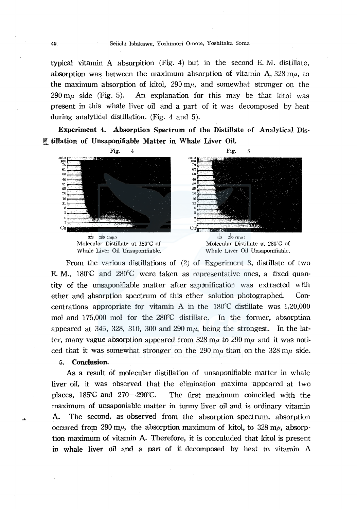typical vitamin A absorpition (Fig. 4) but in the second E. M. distillate, absorption was between the maximum absorption of vitamin A,  $328 \text{ m}\mu$ , to the maximum absorption of kitol,  $290 \text{ m/s}$ , and somewhat stronger on the  $290 \text{ m}\mu$  side (Fig. 5). An explanation for this may be that kitol was present in this whale liver oil and a part of it was decomposed by heat during analytical distillation. (Fig. 4 and 5).

Experiment 4. Absorption Spectrum of the Distillate of Analytical Dis-  $\mathcal{F}$  tillation of Unsaponifiable Matter in Whale Liver Oil.



From the various distillations of (2) of Experiment 3, distillate of two E. M., 180°C and 280°C were taken as representative ones, a fixed quantity of the unsaponifiable matter after sapcmification was extracted with ether and absorption spectrum of this ether solution photographed. Concentrations appropriate for vitamin A in the 180°C distillate was 1/20,000 mol and 175,000 mol for the 280°C distillate. In the former, absorption appeared at 345, 328, 310, 300 and 290 m $\mu$ , being the strongest. In the latter, many vague absorption appeared from 328 m $\mu$  to 290 m $\mu$  and it was noticed that it was somewhat stronger on the 290 m $\mu$  than on the 328 m $\mu$  side.

5. Conclusion.

...

As a result of molecular distillation of unsaponifiable matter in whale liver oil, it was observed that the elimination maxima ·appeared at two places, 185°C and 270-290°C. The first maximum coincided with the maximum of unsaponiable matter in tunny liver oil and is ordinary vitamin A. The second, as observed from the absorption spectrum, absorption occured from 290 m $\mu$ , the absorption maximum of kitol, to 328 m $\mu$ , absorption maximum of vitamin A. Therefore, it is conculuded that kitol is present in whale liver oil and a part of it decomposed by heat to vitamin A